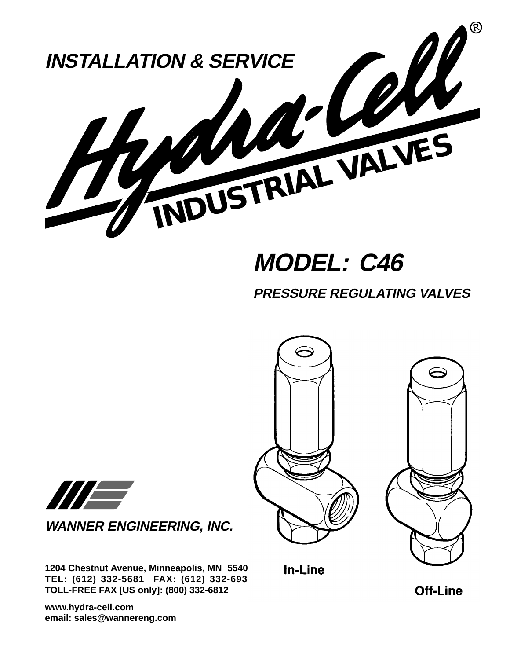

# **MODEL: C46**

**PRESSURE REGULATING VALVES**



In-Line



**WANNER ENGINEERING, INC.**

**1204 Chestnut Avenue, Minneapolis, MN 55403 TEL: (612) 332-5681 FAX: (612) 332-6937 TOLL-FREE FAX [US only]: (800) 332-6812**

**www.hydra-cell.com email: sales@wannereng.com** **Off-Line**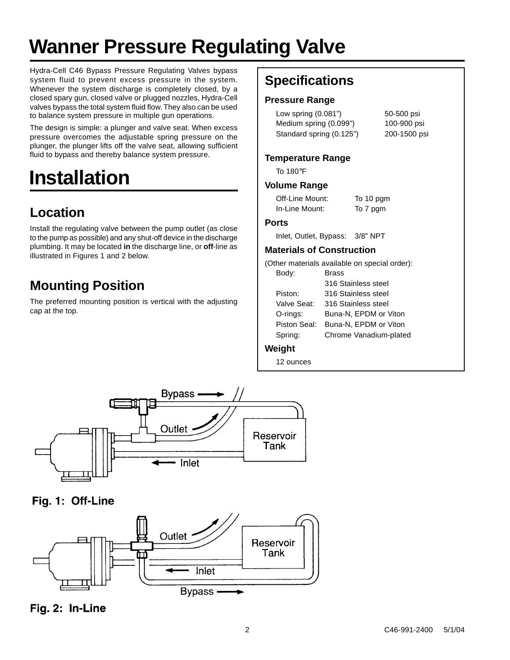# **Wanner Pressure Regulating Valve**

Hydra-Cell C46 Bypass Pressure Regulating Valves bypass system fluid to prevent excess pressure in the system. Whenever the system discharge is completely closed, by a closed spary gun, closed valve or plugged nozzles, Hydra-Cell valves bypass the total system fluid flow. They also can be used to balance system pressure in multiple gun operations.

The design is simple: a plunger and valve seat. When excess pressure overcomes the adjustable spring pressure on the plunger, the plunger lifts off the valve seat, allowing sufficient fluid to bypass and thereby balance system pressure.

# **Installation**

## **Location**

Install the regulating valve between the pump outlet (as close to the pump as possible) and any shut-off device in the discharge plumbing. It may be located **in** the discharge line, or **off**-line as illustrated in Figures 1 and 2 below.

## **Mounting Position**

The preferred mounting position is vertical with the adjusting cap at the top.

## **Specifications**

#### **Pressure Range**

Low spring (0.081") 50-500 psi Medium spring (0.099") 100-900 psi Standard spring (0.125") 200-1500 psi

#### **Temperature Range**

To 180°F

#### **Volume Range**

| Off-Line Mount: | To 10 pgm |
|-----------------|-----------|
| In-Line Mount:  | To 7 pgm  |

#### **Ports**

Inlet, Outlet, Bypass: 3/8" NPT

#### **Materials of Construction**

(Other materials available on special order):

| Body:        | <b>Brass</b>           |
|--------------|------------------------|
|              | 316 Stainless steel    |
| Piston:      | 316 Stainless steel    |
| Valve Seat:  | 316 Stainless steel    |
| O-rings:     | Buna-N, EPDM or Viton  |
| Piston Seal: | Buna-N. EPDM or Viton  |
| Spring:      | Chrome Vanadium-plated |
|              |                        |

#### **Weight**

12 ounces



Fig. 1: Off-Line



Fig. 2: In-Line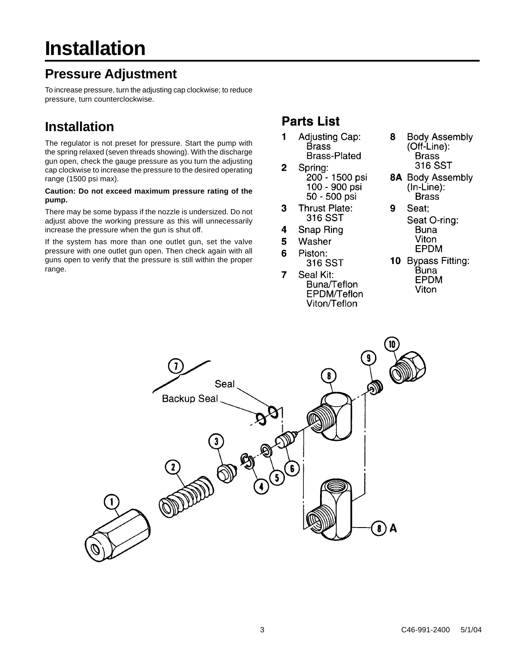### **Pressure Adjustment**

To increase pressure, turn the adjusting cap clockwise; to reduce pressure, turn counterclockwise.

### **Installation**

The regulator is not preset for pressure. Start the pump with the spring relaxed (seven threads showing). With the discharge gun open, check the gauge pressure as you turn the adjusting cap clockwise to increase the pressure to the desired operating range (1500 psi max).

#### **Caution: Do not exceed maximum pressure rating of the pump.**

There may be some bypass if the nozzle is undersized. Do not adjust above the working pressure as this will unnecessarily increase the pressure when the gun is shut off.

If the system has more than one outlet gun, set the valve pressure with one outlet gun open. Then check again with all guns open to verify that the pressure is still within the proper range.

### **Parts List**

- 1 **Adjusting Cap: Brass Brass-Plated**
- Spring:  $\mathbf 2$ 200 - 1500 psi 100 - 900 psi 50 - 500 psi
- 3 **Thrust Plate:** 316 SST
- 4 Snap Ring
- 5 Washer
- 6 Piston: 316 SST
- $\overline{7}$ Seal Kit: Buna/Teflon **EPDM/Teflon** Viton/Teflon
- 8 **Body Assembly** (Off-Line): **Brass** 316 SST
- **8A** Body Assembly  $(ln-Line)$ : **Brass**
- $9$ Seat; Seat O-ring: **Buna** Viton **EPDM**
- 10 Bypass Fitting: Buna **EPDM** Viton